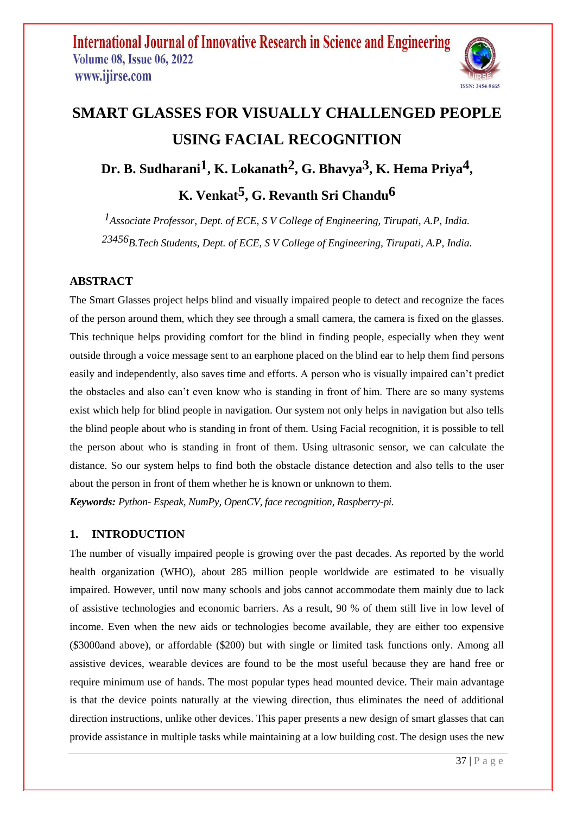

# **SMART GLASSES FOR VISUALLY CHALLENGED PEOPLE USING FACIAL RECOGNITION**

**Dr. B. Sudharani1, K. Lokanath2, G. Bhavya3, K. Hema Priya4 ,** 

**K. Venkat5, G. Revanth Sri Chandu6**

*1Associate Professor, Dept. of ECE, S V College of Engineering, Tirupati, A.P, India. 23456B.Tech Students, Dept. of ECE, S V College of Engineering, Tirupati, A.P, India.*

### **ABSTRACT**

The Smart Glasses project helps blind and visually impaired people to detect and recognize the faces of the person around them, which they see through a small camera, the camera is fixed on the glasses. This technique helps providing comfort for the blind in finding people, especially when they went outside through a voice message sent to an earphone placed on the blind ear to help them find persons easily and independently, also saves time and efforts. A person who is visually impaired can't predict the obstacles and also can't even know who is standing in front of him. There are so many systems exist which help for blind people in navigation. Our system not only helps in navigation but also tells the blind people about who is standing in front of them. Using Facial recognition, it is possible to tell the person about who is standing in front of them. Using ultrasonic sensor, we can calculate the distance. So our system helps to find both the obstacle distance detection and also tells to the user about the person in front of them whether he is known or unknown to them.

*Keywords: Python- Espeak, NumPy, OpenCV, face recognition, Raspberry-pi.*

### **1. INTRODUCTION**

The number of visually impaired people is growing over the past decades. As reported by the world health organization (WHO), about 285 million people worldwide are estimated to be visually impaired. However, until now many schools and jobs cannot accommodate them mainly due to lack of assistive technologies and economic barriers. As a result, 90 % of them still live in low level of income. Even when the new aids or technologies become available, they are either too expensive (\$3000and above), or affordable (\$200) but with single or limited task functions only. Among all assistive devices, wearable devices are found to be the most useful because they are hand free or require minimum use of hands. The most popular types head mounted device. Their main advantage is that the device points naturally at the viewing direction, thus eliminates the need of additional direction instructions, unlike other devices. This paper presents a new design of smart glasses that can provide assistance in multiple tasks while maintaining at a low building cost. The design uses the new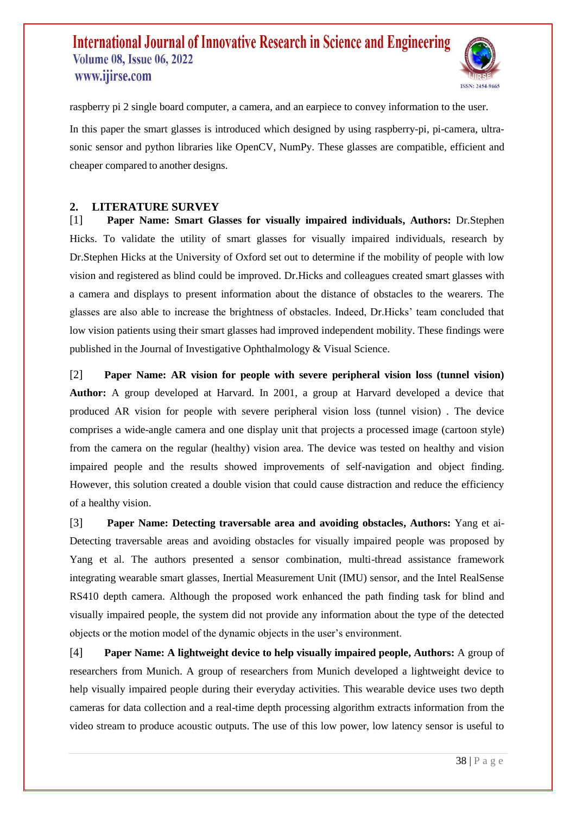

raspberry pi 2 single board computer, a camera, and an earpiece to convey information to the user.

In this paper the smart glasses is introduced which designed by using raspberry-pi, pi-camera, ultrasonic sensor and python libraries like OpenCV, NumPy. These glasses are compatible, efficient and cheaper compared to another designs.

### **2. LITERATURE SURVEY**

[1] **Paper Name: Smart Glasses for visually impaired individuals, Authors:** Dr.Stephen Hicks. To validate the utility of smart glasses for visually impaired individuals, research by Dr.Stephen Hicks at the University of Oxford set out to determine if the mobility of people with low vision and registered as blind could be improved. Dr.Hicks and colleagues created smart glasses with a camera and displays to present information about the distance of obstacles to the wearers. The glasses are also able to increase the brightness of obstacles. Indeed, Dr.Hicks' team concluded that low vision patients using their smart glasses had improved independent mobility. These findings were published in the Journal of Investigative Ophthalmology & Visual Science.

[2] **Paper Name: AR vision for people with severe peripheral vision loss (tunnel vision) Author:** A group developed at Harvard. In 2001, a group at Harvard developed a device that produced AR vision for people with severe peripheral vision loss (tunnel vision) . The device comprises a wide-angle camera and one display unit that projects a processed image (cartoon style) from the camera on the regular (healthy) vision area. The device was tested on healthy and vision impaired people and the results showed improvements of self-navigation and object finding. However, this solution created a double vision that could cause distraction and reduce the efficiency of a healthy vision.

[3] **Paper Name: Detecting traversable area and avoiding obstacles, Authors:** Yang et ai-Detecting traversable areas and avoiding obstacles for visually impaired people was proposed by Yang et al. The authors presented a sensor combination, multi-thread assistance framework integrating wearable smart glasses, Inertial Measurement Unit (IMU) sensor, and the Intel RealSense RS410 depth camera. Although the proposed work enhanced the path finding task for blind and visually impaired people, the system did not provide any information about the type of the detected objects or the motion model of the dynamic objects in the user's environment.

[4] **Paper Name: A lightweight device to help visually impaired people, Authors:** A group of researchers from Munich. A group of researchers from Munich developed a lightweight device to help visually impaired people during their everyday activities. This wearable device uses two depth cameras for data collection and a real-time depth processing algorithm extracts information from the video stream to produce acoustic outputs. The use of this low power, low latency sensor is useful to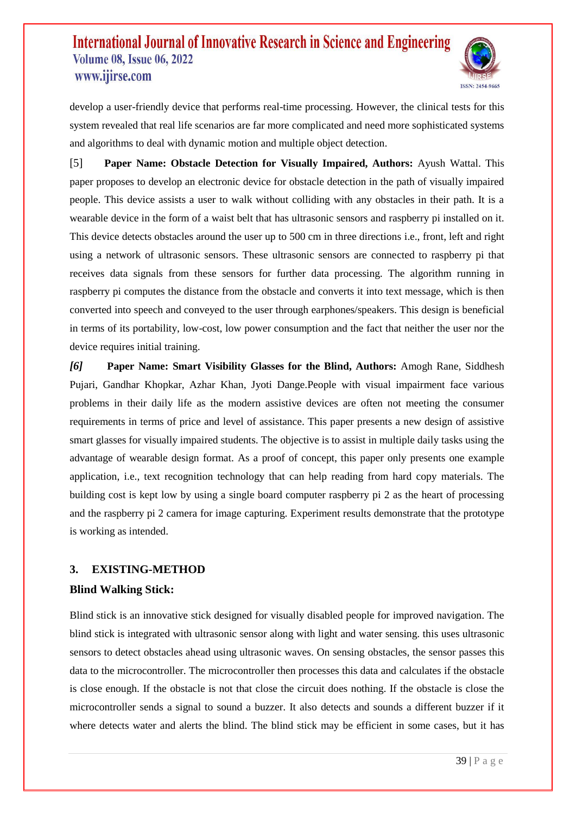

develop a user-friendly device that performs real-time processing. However, the clinical tests for this system revealed that real life scenarios are far more complicated and need more sophisticated systems and algorithms to deal with dynamic motion and multiple object detection.

[5] **Paper Name: Obstacle Detection for Visually Impaired, Authors:** Ayush Wattal. This paper proposes to develop an electronic device for obstacle detection in the path of visually impaired people. This device assists a user to walk without colliding with any obstacles in their path. It is a wearable device in the form of a waist belt that has ultrasonic sensors and raspberry pi installed on it. This device detects obstacles around the user up to 500 cm in three directions i.e., front, left and right using a network of ultrasonic sensors. These ultrasonic sensors are connected to raspberry pi that receives data signals from these sensors for further data processing. The algorithm running in raspberry pi computes the distance from the obstacle and converts it into text message, which is then converted into speech and conveyed to the user through earphones/speakers. This design is beneficial in terms of its portability, low-cost, low power consumption and the fact that neither the user nor the device requires initial training.

*[6]* **Paper Name: Smart Visibility Glasses for the Blind, Authors:** Amogh Rane, Siddhesh Pujari, Gandhar Khopkar, Azhar Khan, Jyoti Dange.People with visual impairment face various problems in their daily life as the modern assistive devices are often not meeting the consumer requirements in terms of price and level of assistance. This paper presents a new design of assistive smart glasses for visually impaired students. The objective is to assist in multiple daily tasks using the advantage of wearable design format. As a proof of concept, this paper only presents one example application, i.e., text recognition technology that can help reading from hard copy materials. The building cost is kept low by using a single board computer raspberry pi 2 as the heart of processing and the raspberry pi 2 camera for image capturing. Experiment results demonstrate that the prototype is working as intended.

### **3. EXISTING-METHOD**

### **Blind Walking Stick:**

Blind stick is an innovative stick designed for visually disabled people for improved navigation. The blind stick is integrated with ultrasonic sensor along with light and water sensing. this uses ultrasonic sensors to detect obstacles ahead using ultrasonic waves. On sensing obstacles, the sensor passes this data to the microcontroller. The microcontroller then processes this data and calculates if the obstacle is close enough. If the obstacle is not that close the circuit does nothing. If the obstacle is close the microcontroller sends a signal to sound a buzzer. It also detects and sounds a different buzzer if it where detects water and alerts the blind. The blind stick may be efficient in some cases, but it has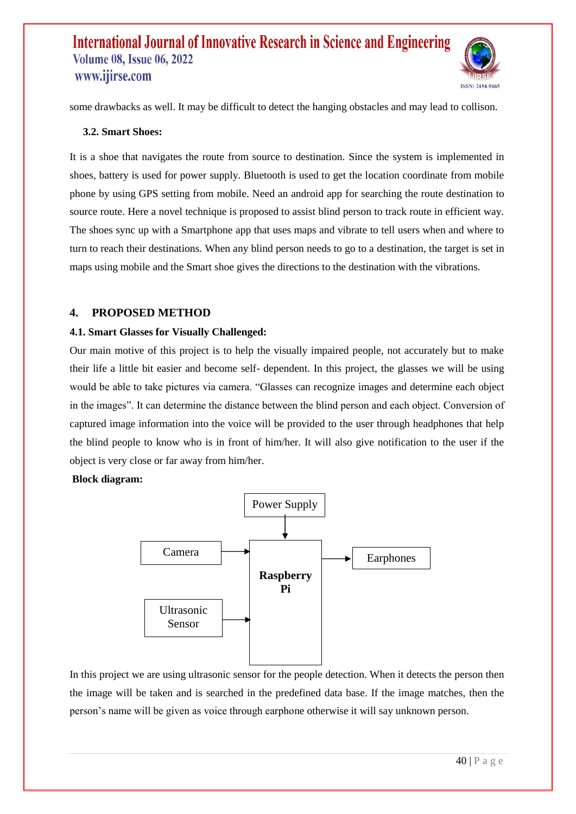

some drawbacks as well. It may be difficult to detect the hanging obstacles and may lead to collison.

#### **3.2. Smart Shoes:**

It is a shoe that navigates the route from source to destination. Since the system is implemented in shoes, battery is used for power supply. Bluetooth is used to get the location coordinate from mobile phone by using GPS setting from mobile. Need an android app for searching the route destination to source route. Here a novel technique is proposed to assist blind person to track route in efficient way. The shoes sync up with a Smartphone app that uses maps and vibrate to tell users when and where to turn to reach their destinations. When any blind person needs to go to a destination, the target is set in maps using mobile and the Smart shoe gives the directions to the destination with the vibrations.

### **4. PROPOSED METHOD**

#### **4.1. Smart Glasses for Visually Challenged:**

Our main motive of this project is to help the visually impaired people, not accurately but to make their life a little bit easier and become self- dependent. In this project, the glasses we will be using would be able to take pictures via camera. "Glasses can recognize images and determine each object in the images". It can determine the distance between the blind person and each object. Conversion of captured image information into the voice will be provided to the user through headphones that help the blind people to know who is in front of him/her. It will also give notification to the user if the object is very close or far away from him/her.

#### **Block diagram:**



In this project we are using ultrasonic sensor for the people detection. When it detects the person then the image will be taken and is searched in the predefined data base. If the image matches, then the person's name will be given as voice through earphone otherwise it will say unknown person.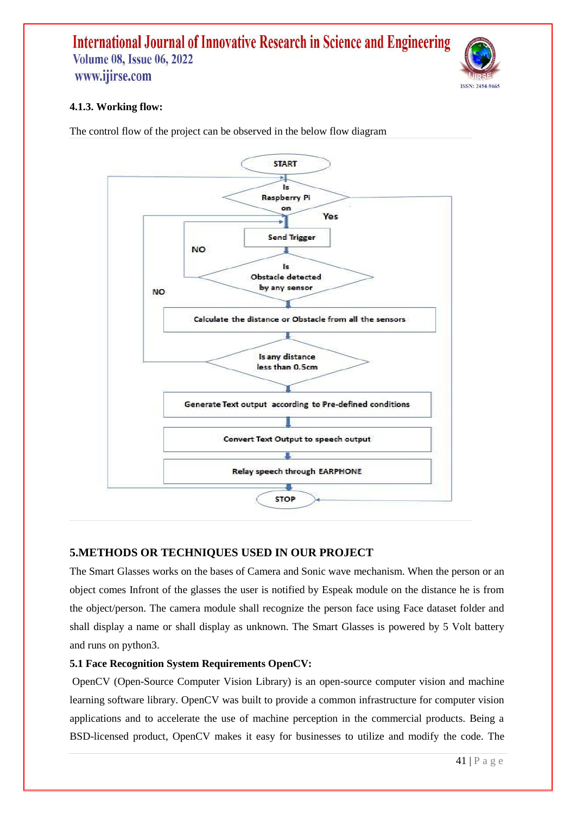

### **4.1.3. Working flow:**

The control flow of the project can be observed in the below flow diagram



### **5.METHODS OR TECHNIQUES USED IN OUR PROJECT**

The Smart Glasses works on the bases of Camera and Sonic wave mechanism. When the person or an object comes Infront of the glasses the user is notified by Espeak module on the distance he is from the object/person. The camera module shall recognize the person face using Face dataset folder and shall display a name or shall display as unknown. The Smart Glasses is powered by 5 Volt battery and runs on python3.

#### **5.1 Face Recognition System Requirements OpenCV:**

OpenCV (Open-Source Computer Vision Library) is an open-source computer vision and machine learning software library. OpenCV was built to provide a common infrastructure for computer vision applications and to accelerate the use of machine perception in the commercial products. Being a BSD-licensed product, OpenCV makes it easy for businesses to utilize and modify the code. The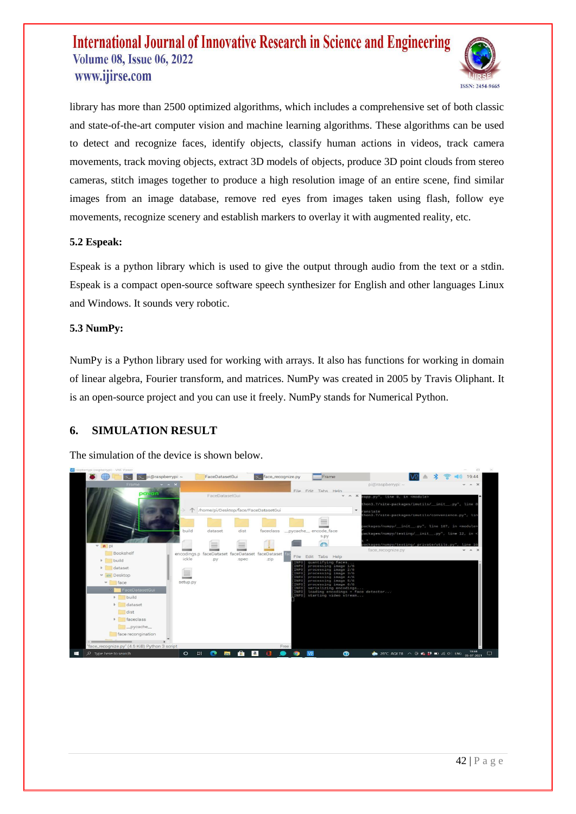

library has more than 2500 optimized algorithms, which includes a comprehensive set of both classic and state-of-the-art computer vision and machine learning algorithms. These algorithms can be used to detect and recognize faces, identify objects, classify human actions in videos, track camera movements, track moving objects, extract 3D models of objects, produce 3D point clouds from stereo cameras, stitch images together to produce a high resolution image of an entire scene, find similar images from an image database, remove red eyes from images taken using flash, follow eye movements, recognize scenery and establish markers to overlay it with augmented reality, etc.

#### **5.2 Espeak:**

Espeak is a python library which is used to give the output through audio from the text or a stdin. Espeak is a compact open-source software speech synthesizer for English and other languages Linux and Windows. It sounds very robotic.

#### **5.3 NumPy:**

NumPy is a Python library used for working with arrays. It also has functions for working in domain of linear algebra, Fourier transform, and matrices. NumPy was created in 2005 by Travis Oliphant. It is an open-source project and you can use it freely. NumPy stands for Numerical Python.

### **6. SIMULATION RESULT**

The simulation of the device is shown below.

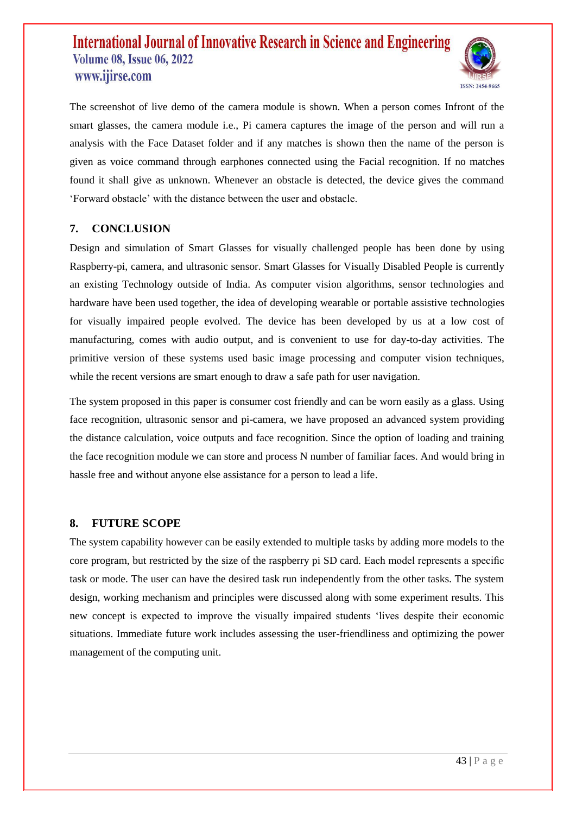

The screenshot of live demo of the camera module is shown. When a person comes Infront of the smart glasses, the camera module i.e., Pi camera captures the image of the person and will run a analysis with the Face Dataset folder and if any matches is shown then the name of the person is given as voice command through earphones connected using the Facial recognition. If no matches found it shall give as unknown. Whenever an obstacle is detected, the device gives the command 'Forward obstacle' with the distance between the user and obstacle.

### **7. CONCLUSION**

Design and simulation of Smart Glasses for visually challenged people has been done by using Raspberry-pi, camera, and ultrasonic sensor. Smart Glasses for Visually Disabled People is currently an existing Technology outside of India. As computer vision algorithms, sensor technologies and hardware have been used together, the idea of developing wearable or portable assistive technologies for visually impaired people evolved. The device has been developed by us at a low cost of manufacturing, comes with audio output, and is convenient to use for day-to-day activities. The primitive version of these systems used basic image processing and computer vision techniques, while the recent versions are smart enough to draw a safe path for user navigation.

The system proposed in this paper is consumer cost friendly and can be worn easily as a glass. Using face recognition, ultrasonic sensor and pi-camera, we have proposed an advanced system providing the distance calculation, voice outputs and face recognition. Since the option of loading and training the face recognition module we can store and process N number of familiar faces. And would bring in hassle free and without anyone else assistance for a person to lead a life.

#### **8. FUTURE SCOPE**

The system capability however can be easily extended to multiple tasks by adding more models to the core program, but restricted by the size of the raspberry pi SD card. Each model represents a specific task or mode. The user can have the desired task run independently from the other tasks. The system design, working mechanism and principles were discussed along with some experiment results. This new concept is expected to improve the visually impaired students 'lives despite their economic situations. Immediate future work includes assessing the user-friendliness and optimizing the power management of the computing unit.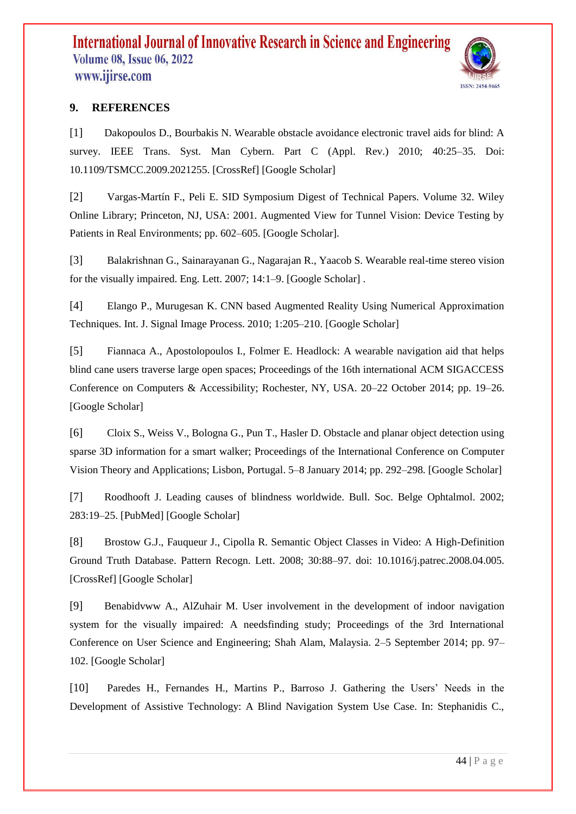

### **9. REFERENCES**

[1] Dakopoulos D., Bourbakis N. Wearable obstacle avoidance electronic travel aids for blind: A survey. IEEE Trans. Syst. Man Cybern. Part C (Appl. Rev.) 2010; 40:25–35. Doi: 10.1109/TSMCC.2009.2021255. [CrossRef] [Google Scholar]

[2] Vargas-Martín F., Peli E. SID Symposium Digest of Technical Papers. Volume 32. Wiley Online Library; Princeton, NJ, USA: 2001. Augmented View for Tunnel Vision: Device Testing by Patients in Real Environments; pp. 602–605. [Google Scholar].

[3] Balakrishnan G., Sainarayanan G., Nagarajan R., Yaacob S. Wearable real-time stereo vision for the visually impaired. Eng. Lett. 2007; 14:1–9. [Google Scholar] .

[4] Elango P., Murugesan K. CNN based Augmented Reality Using Numerical Approximation Techniques. Int. J. Signal Image Process. 2010; 1:205–210. [Google Scholar]

[5] Fiannaca A., Apostolopoulos I., Folmer E. Headlock: A wearable navigation aid that helps blind cane users traverse large open spaces; Proceedings of the 16th international ACM SIGACCESS Conference on Computers & Accessibility; Rochester, NY, USA. 20–22 October 2014; pp. 19–26. [Google Scholar]

[6] Cloix S., Weiss V., Bologna G., Pun T., Hasler D. Obstacle and planar object detection using sparse 3D information for a smart walker; Proceedings of the International Conference on Computer Vision Theory and Applications; Lisbon, Portugal. 5–8 January 2014; pp. 292–298. [Google Scholar]

[7] Roodhooft J. Leading causes of blindness worldwide. Bull. Soc. Belge Ophtalmol. 2002; 283:19–25. [PubMed] [Google Scholar]

[8] Brostow G.J., Fauqueur J., Cipolla R. Semantic Object Classes in Video: A High-Definition Ground Truth Database. Pattern Recogn. Lett. 2008; 30:88–97. doi: 10.1016/j.patrec.2008.04.005. [CrossRef] [Google Scholar]

[9] Benabidvww A., AlZuhair M. User involvement in the development of indoor navigation system for the visually impaired: A needsfinding study; Proceedings of the 3rd International Conference on User Science and Engineering; Shah Alam, Malaysia. 2–5 September 2014; pp. 97– 102. [Google Scholar]

[10] Paredes H., Fernandes H., Martins P., Barroso J. Gathering the Users' Needs in the Development of Assistive Technology: A Blind Navigation System Use Case. In: Stephanidis C.,